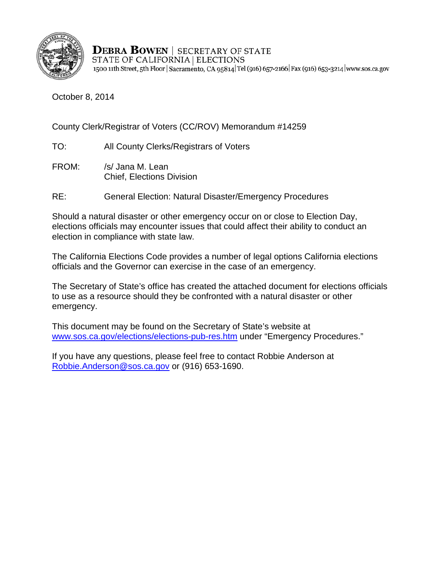

**DEBRA BOWEN | SECRETARY OF STATE** STATE OF CALIFORNIA | ELECTIONS 1500 11th Street, 5th Floor | Sacramento, CA 95814 Tel (916) 657-2166 | Fax (916) 653-3214 | www.sos.ca.gov

October 8, 2014

County Clerk/Registrar of Voters (CC/ROV) Memorandum #14259

- TO: All County Clerks/Registrars of Voters
- FROM: /s/ Jana M. Lean Chief, Elections Division
- RE: General Election: Natural Disaster/Emergency Procedures

Should a natural disaster or other emergency occur on or close to Election Day, elections officials may encounter issues that could affect their ability to conduct an election in compliance with state law.

The California Elections Code provides a number of legal options California elections officials and the Governor can exercise in the case of an emergency.

The Secretary of State's office has created the attached document for elections officials to use as a resource should they be confronted with a natural disaster or other emergency.

This document may be found on the Secretary of State's website at [www.sos.ca.gov/elections/elections-pub-res.htm](http://www.sos.ca.gov/elections/additional-elections-information/publications-and-resources/) under "Emergency Procedures."

If you have any questions, please feel free to contact Robbie Anderson at [Robbie.Anderson@sos.ca.gov](mailto:Robbie.Anderson@sos.ca.gov) or (916) 653-1690.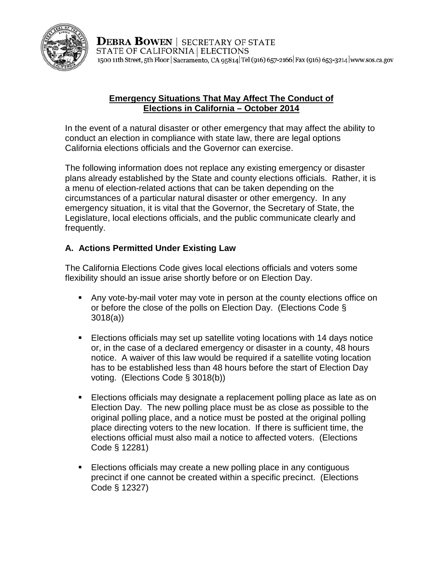

## **Emergency Situations That May Affect The Conduct of Elections in California – October 2014**

In the event of a natural disaster or other emergency that may affect the ability to conduct an election in compliance with state law, there are legal options California elections officials and the Governor can exercise.

The following information does not replace any existing emergency or disaster plans already established by the State and county elections officials. Rather, it is a menu of election-related actions that can be taken depending on the circumstances of a particular natural disaster or other emergency. In any emergency situation, it is vital that the Governor, the Secretary of State, the Legislature, local elections officials, and the public communicate clearly and frequently.

# **A. Actions Permitted Under Existing Law**

The California Elections Code gives local elections officials and voters some flexibility should an issue arise shortly before or on Election Day.

- Any vote-by-mail voter may vote in person at the county elections office on or before the close of the polls on Election Day. (Elections Code § 3018(a))
- Elections officials may set up satellite voting locations with 14 days notice or, in the case of a declared emergency or disaster in a county, 48 hours notice. A waiver of this law would be required if a satellite voting location has to be established less than 48 hours before the start of Election Day voting. (Elections Code § 3018(b))
- **Elections officials may designate a replacement polling place as late as on** Election Day. The new polling place must be as close as possible to the original polling place, and a notice must be posted at the original polling place directing voters to the new location. If there is sufficient time, the elections official must also mail a notice to affected voters. (Elections Code § 12281)
- **Elections officials may create a new polling place in any contiguous** precinct if one cannot be created within a specific precinct. (Elections Code § 12327)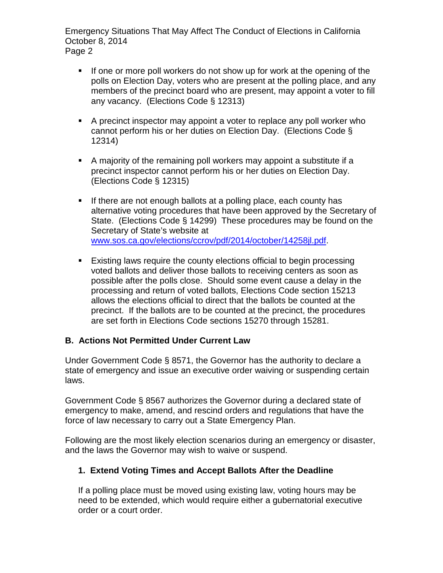Emergency Situations That May Affect The Conduct of Elections in California October 8, 2014 Page 2

- If one or more poll workers do not show up for work at the opening of the polls on Election Day, voters who are present at the polling place, and any members of the precinct board who are present, may appoint a voter to fill any vacancy. (Elections Code § 12313)
- A precinct inspector may appoint a voter to replace any poll worker who cannot perform his or her duties on Election Day. (Elections Code § 12314)
- A majority of the remaining poll workers may appoint a substitute if a precinct inspector cannot perform his or her duties on Election Day. (Elections Code § 12315)
- **If there are not enough ballots at a polling place, each county has** alternative voting procedures that have been approved by the Secretary of State. (Elections Code § 14299) These procedures may be found on the Secretary of State's website at [www.sos.ca.gov/elections/ccrov/pdf/2014/october/14258jl.pdf.](http://elections.cdn.sos.ca.gov/ccrov/pdf/2014/october/14258jl.pdf)
- **Existing laws require the county elections official to begin processing** voted ballots and deliver those ballots to receiving centers as soon as possible after the polls close. Should some event cause a delay in the processing and return of voted ballots, Elections Code section 15213 allows the elections official to direct that the ballots be counted at the precinct. If the ballots are to be counted at the precinct, the procedures are set forth in Elections Code sections 15270 through 15281.

## **B. Actions Not Permitted Under Current Law**

Under Government Code § 8571, the Governor has the authority to declare a state of emergency and issue an executive order waiving or suspending certain laws.

Government Code § 8567 authorizes the Governor during a declared state of emergency to make, amend, and rescind orders and regulations that have the force of law necessary to carry out a State Emergency Plan.

Following are the most likely election scenarios during an emergency or disaster, and the laws the Governor may wish to waive or suspend.

# **1. Extend Voting Times and Accept Ballots After the Deadline**

If a polling place must be moved using existing law, voting hours may be need to be extended, which would require either a gubernatorial executive order or a court order.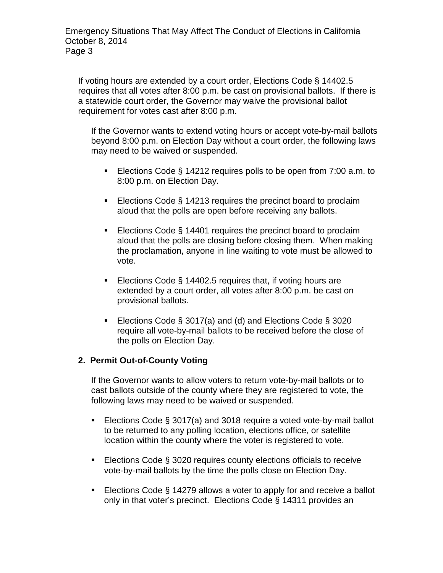If voting hours are extended by a court order, Elections Code § 14402.5 requires that all votes after 8:00 p.m. be cast on provisional ballots. If there is a statewide court order, the Governor may waive the provisional ballot requirement for votes cast after 8:00 p.m.

If the Governor wants to extend voting hours or accept vote-by-mail ballots beyond 8:00 p.m. on Election Day without a court order, the following laws may need to be waived or suspended.

- Elections Code § 14212 requires polls to be open from 7:00 a.m. to 8:00 p.m. on Election Day.
- Elections Code § 14213 requires the precinct board to proclaim aloud that the polls are open before receiving any ballots.
- Elections Code § 14401 requires the precinct board to proclaim aloud that the polls are closing before closing them. When making the proclamation, anyone in line waiting to vote must be allowed to vote.
- Elections Code  $\S$  14402.5 requires that, if voting hours are extended by a court order, all votes after 8:00 p.m. be cast on provisional ballots.
- Elections Code § 3017(a) and (d) and Elections Code § 3020 require all vote-by-mail ballots to be received before the close of the polls on Election Day.

## **2. Permit Out-of-County Voting**

If the Governor wants to allow voters to return vote-by-mail ballots or to cast ballots outside of the county where they are registered to vote, the following laws may need to be waived or suspended.

- Elections Code § 3017(a) and 3018 require a voted vote-by-mail ballot to be returned to any polling location, elections office, or satellite location within the county where the voter is registered to vote.
- Elections Code § 3020 requires county elections officials to receive vote-by-mail ballots by the time the polls close on Election Day.
- Elections Code § 14279 allows a voter to apply for and receive a ballot only in that voter's precinct. Elections Code § 14311 provides an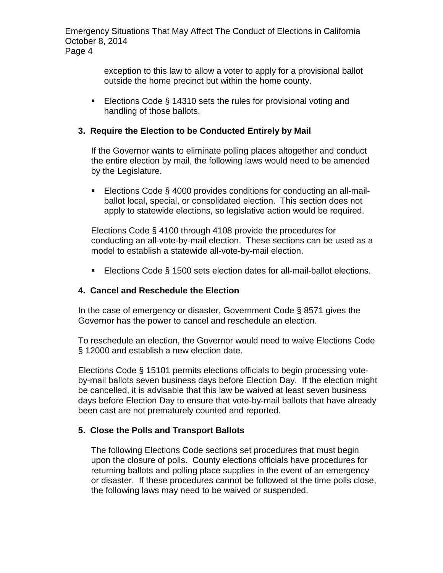Emergency Situations That May Affect The Conduct of Elections in California October 8, 2014 Page 4

> exception to this law to allow a voter to apply for a provisional ballot outside the home precinct but within the home county.

■ Elections Code § 14310 sets the rules for provisional voting and handling of those ballots.

#### **3. Require the Election to be Conducted Entirely by Mail**

If the Governor wants to eliminate polling places altogether and conduct the entire election by mail, the following laws would need to be amended by the Legislature.

■ Elections Code § 4000 provides conditions for conducting an all-mailballot local, special, or consolidated election. This section does not apply to statewide elections, so legislative action would be required.

Elections Code § 4100 through 4108 provide the procedures for conducting an all-vote-by-mail election. These sections can be used as a model to establish a statewide all-vote-by-mail election.

■ Elections Code § 1500 sets election dates for all-mail-ballot elections.

#### **4. Cancel and Reschedule the Election**

In the case of emergency or disaster, Government Code § 8571 gives the Governor has the power to cancel and reschedule an election.

To reschedule an election, the Governor would need to waive Elections Code § 12000 and establish a new election date.

Elections Code § 15101 permits elections officials to begin processing voteby-mail ballots seven business days before Election Day. If the election might be cancelled, it is advisable that this law be waived at least seven business days before Election Day to ensure that vote-by-mail ballots that have already been cast are not prematurely counted and reported.

#### **5. Close the Polls and Transport Ballots**

The following Elections Code sections set procedures that must begin upon the closure of polls. County elections officials have procedures for returning ballots and polling place supplies in the event of an emergency or disaster. If these procedures cannot be followed at the time polls close, the following laws may need to be waived or suspended.